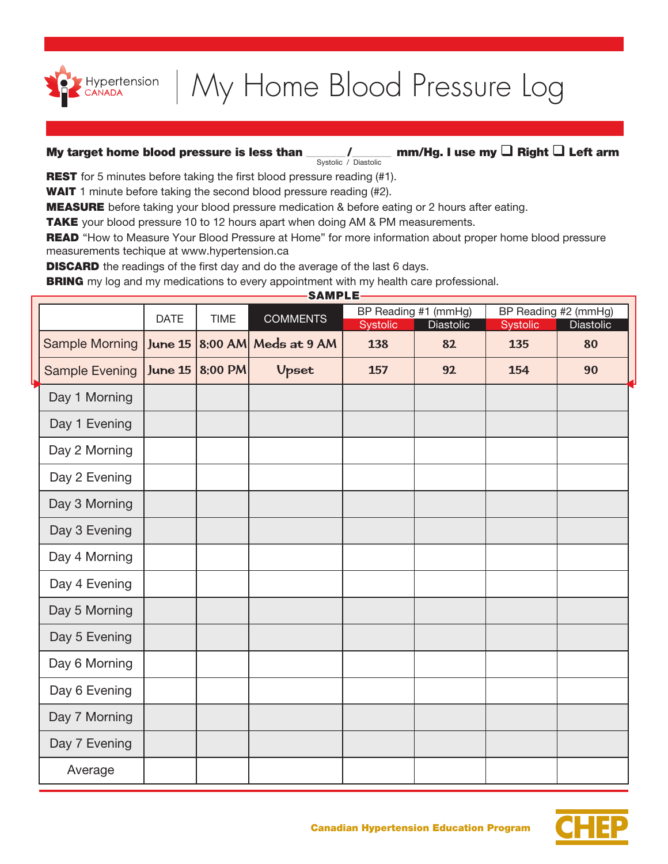

## My Home Blood Pressure Log

## Systolic / Diastolic My target home blood pressure is less than \_\_\_\_\_\_\_\_\_\_\_\_\_\_\_ mm/Hg. I use my  $\Box$  Right  $\Box$  Left arm

**REST** for 5 minutes before taking the first blood pressure reading (#1).

**WAIT** 1 minute before taking the second blood pressure reading (#2).

**MEASURE** before taking your blood pressure medication & before eating or 2 hours after eating.

TAKE your blood pressure 10 to 12 hours apart when doing AM & PM measurements.

**READ** "How to Measure Your Blood Pressure at Home" for more information about proper home blood pressure measurements techique at www.hypertension.ca

**DISCARD** the readings of the first day and do the average of the last 6 days.

**BRING** my log and my medications to every appointment with my health care professional.

**CAMBLE** 

| JAMFLE                |                |             |                        |                                                      |    |                                                      |    |  |  |  |  |
|-----------------------|----------------|-------------|------------------------|------------------------------------------------------|----|------------------------------------------------------|----|--|--|--|--|
|                       | <b>DATE</b>    | <b>TIME</b> | <b>COMMENTS</b>        | BP Reading #1 (mmHg)<br>Systolic<br><b>Diastolic</b> |    | BP Reading #2 (mmHg)<br>Systolic<br><b>Diastolic</b> |    |  |  |  |  |
| <b>Sample Morning</b> | <b>June 15</b> |             | $8:00$ AM Meds at 9 AM | 138                                                  | 82 | 135                                                  | 80 |  |  |  |  |
| <b>Sample Evening</b> | <b>June 15</b> | 8:00 PM     | <b>Upset</b>           | 157                                                  | 92 | 154                                                  | 90 |  |  |  |  |
| Day 1 Morning         |                |             |                        |                                                      |    |                                                      |    |  |  |  |  |
| Day 1 Evening         |                |             |                        |                                                      |    |                                                      |    |  |  |  |  |
| Day 2 Morning         |                |             |                        |                                                      |    |                                                      |    |  |  |  |  |
| Day 2 Evening         |                |             |                        |                                                      |    |                                                      |    |  |  |  |  |
| Day 3 Morning         |                |             |                        |                                                      |    |                                                      |    |  |  |  |  |
| Day 3 Evening         |                |             |                        |                                                      |    |                                                      |    |  |  |  |  |
| Day 4 Morning         |                |             |                        |                                                      |    |                                                      |    |  |  |  |  |
| Day 4 Evening         |                |             |                        |                                                      |    |                                                      |    |  |  |  |  |
| Day 5 Morning         |                |             |                        |                                                      |    |                                                      |    |  |  |  |  |
| Day 5 Evening         |                |             |                        |                                                      |    |                                                      |    |  |  |  |  |
| Day 6 Morning         |                |             |                        |                                                      |    |                                                      |    |  |  |  |  |
| Day 6 Evening         |                |             |                        |                                                      |    |                                                      |    |  |  |  |  |
| Day 7 Morning         |                |             |                        |                                                      |    |                                                      |    |  |  |  |  |
| Day 7 Evening         |                |             |                        |                                                      |    |                                                      |    |  |  |  |  |
| Average               |                |             |                        |                                                      |    |                                                      |    |  |  |  |  |